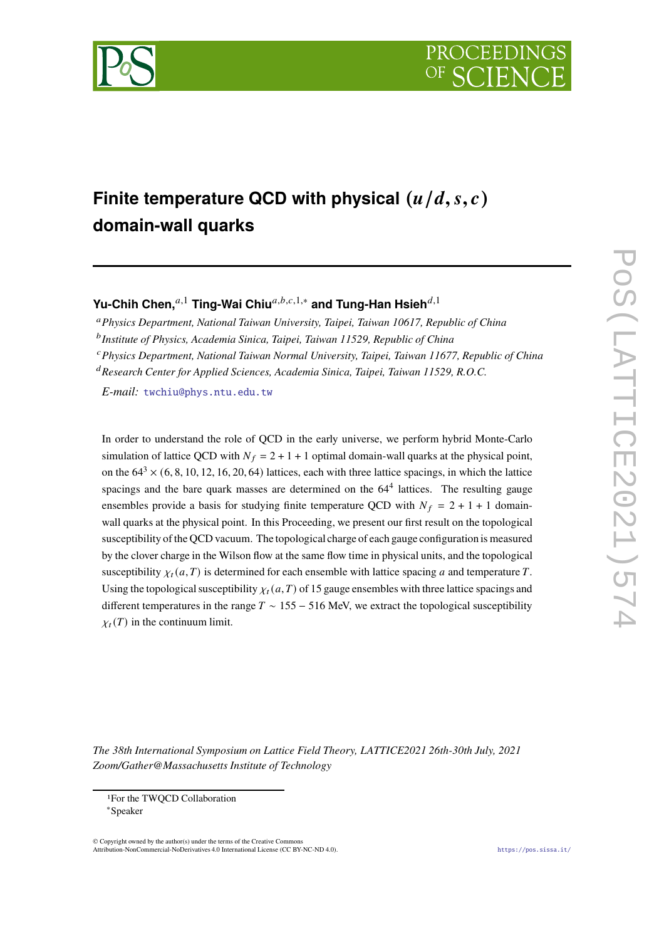



# **Finite temperature QCD with physical**  $(u/d, s, c)$ **domain-wall quarks**

Yu-Chih Chen,<sup>*a*,1</sup> Ting-Wai Chiu<sup>*a,b,c,*1,∗</sup> and Tung-Han Hsieh<sup>*d,*1</sup>

<sup>𝑎</sup>*Physics Department, National Taiwan University, Taipei, Taiwan 10617, Republic of China*

<sup>b</sup> Institute of Physics, Academia Sinica, Taipei, Taiwan 11529, Republic of China

<sup>𝑐</sup>*Physics Department, National Taiwan Normal University, Taipei, Taiwan 11677, Republic of China*

<sup>d</sup> Research Center for Applied Sciences, Academia Sinica, Taipei, Taiwan 11529, R.O.C.

*E-mail:* [twchiu@phys.ntu.edu.tw](mailto:twchiu@phys.ntu.edu.tw)

In order to understand the role of QCD in the early universe, we perform hybrid Monte-Carlo simulation of lattice QCD with  $N_f = 2 + 1 + 1$  optimal domain-wall quarks at the physical point, on the  $64^3 \times (6, 8, 10, 12, 16, 20, 64)$  lattices, each with three lattice spacings, in which the lattice spacings and the bare quark masses are determined on the  $64<sup>4</sup>$  lattices. The resulting gauge ensembles provide a basis for studying finite temperature QCD with  $N_f = 2 + 1 + 1$  domainwall quarks at the physical point. In this Proceeding, we present our first result on the topological susceptibility of the QCD vacuum. The topological charge of each gauge configuration is measured by the clover charge in the Wilson flow at the same flow time in physical units, and the topological susceptibility  $\chi_t(a,T)$  is determined for each ensemble with lattice spacing a and temperature T. Using the topological susceptibility  $\chi_t(a,T)$  of 15 gauge ensembles with three lattice spacings and different temperatures in the range  $T \sim 155 - 516$  MeV, we extract the topological susceptibility  $\chi_t(T)$  in the continuum limit.

*The 38th International Symposium on Lattice Field Theory, LATTICE2021 26th-30th July, 2021 Zoom/Gather@Massachusetts Institute of Technology*

© Copyright owned by the author(s) under the terms of the Creative Commons Attribution-NonCommercial-NoDerivatives 4.0 International License (CC BY-NC-ND 4.0). <https://pos.sissa.it/>

<sup>1</sup>For the TWQCD Collaboration

<sup>∗</sup>Speaker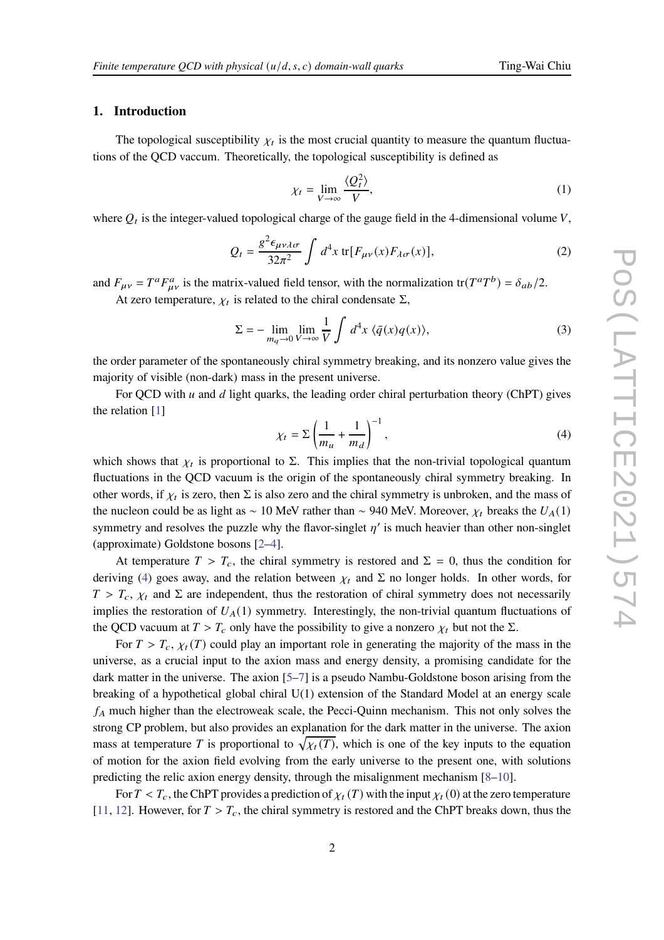**1. Introduction**

The topological susceptibility  $\chi_t$  is the most crucial quantity to measure the quantum fluctuations of the QCD vaccum. Theoretically, the topological susceptibility is defined as

$$
\chi_t = \lim_{V \to \infty} \frac{\langle Q_t^2 \rangle}{V},\tag{1}
$$

where  $Q_t$  is the integer-valued topological charge of the gauge field in the 4-dimensional volume  $V$ ,

$$
Q_t = \frac{g^2 \epsilon_{\mu\nu\lambda\sigma}}{32\pi^2} \int d^4x \, \text{tr}[F_{\mu\nu}(x) F_{\lambda\sigma}(x)],\tag{2}
$$

and  $F_{\mu\nu} = T^a F_{\mu\nu}^a$  is the matrix-valued field tensor, with the normalization tr( $T^a T^b$ ) =  $\delta_{ab}/2$ .

At zero temperature,  $\chi_t$  is related to the chiral condensate  $\Sigma$ ,

$$
\Sigma = -\lim_{m_q \to 0} \lim_{V \to \infty} \frac{1}{V} \int d^4x \langle \bar{q}(x) q(x) \rangle, \tag{3}
$$

the order parameter of the spontaneously chiral symmetry breaking, and its nonzero value gives the majority of visible (non-dark) mass in the present universe.

For QCD with  $u$  and  $d$  light quarks, the leading order chiral perturbation theory (ChPT) gives the relation [\[1](#page-6-0)]

<span id="page-1-0"></span>
$$
\chi_t = \Sigma \left( \frac{1}{m_u} + \frac{1}{m_d} \right)^{-1},\tag{4}
$$

which shows that  $\chi_t$  is proportional to  $\Sigma$ . This implies that the non-trivial topological quantum fluctuations in the QCD vacuum is the origin of the spontaneously chiral symmetry breaking. In other words, if  $\chi_t$  is zero, then  $\Sigma$  is also zero and the chiral symmetry is unbroken, and the mass of the nucleon could be as light as ~ 10 MeV rather than ~ 940 MeV. Moreover,  $\chi_t$  breaks the  $U_A(1)$ symmetry and resolves the puzzle why the flavor-singlet  $\eta'$  is much heavier than other non-singlet (approximate) Goldstone bosons [\[2](#page-6-1)[–4\]](#page-6-2).

At temperature  $T > T_c$ , the chiral symmetry is restored and  $\Sigma = 0$ , thus the condition for deriving [\(4\)](#page-1-0) goes away, and the relation between  $\chi_t$  and  $\Sigma$  no longer holds. In other words, for  $T > T_c$ ,  $\chi_t$  and  $\Sigma$  are independent, thus the restoration of chiral symmetry does not necessarily implies the restoration of  $U_A(1)$  symmetry. Interestingly, the non-trivial quantum fluctuations of the QCD vacuum at  $T > T_c$  only have the possibility to give a nonzero  $\chi_t$  but not the  $\Sigma$ .

For  $T > T_c$ ,  $\chi_t(T)$  could play an important role in generating the majority of the mass in the universe, as a crucial input to the axion mass and energy density, a promising candidate for the dark matter in the universe. The axion [\[5](#page-6-3)[–7](#page-6-4)] is a pseudo Nambu-Goldstone boson arising from the breaking of a hypothetical global chiral U(1) extension of the Standard Model at an energy scale  $f_A$  much higher than the electroweak scale, the Pecci-Quinn mechanism. This not only solves the strong CP problem, but also provides an explanation for the dark matter in the universe. The axion mass at temperature T is proportional to  $\sqrt{\chi_t(T)}$ , which is one of the key inputs to the equation of motion for the axion field evolving from the early universe to the present one, with solutions predicting the relic axion energy density, through the misalignment mechanism [\[8](#page-6-5)[–10](#page-6-6)].

For  $T < T_c$ , the ChPT provides a prediction of  $\chi_t(T)$  with the input  $\chi_t(0)$  at the zero temperature [\[11,](#page-6-7) [12](#page-6-8)]. However, for  $T > T_c$ , the chiral symmetry is restored and the ChPT breaks down, thus the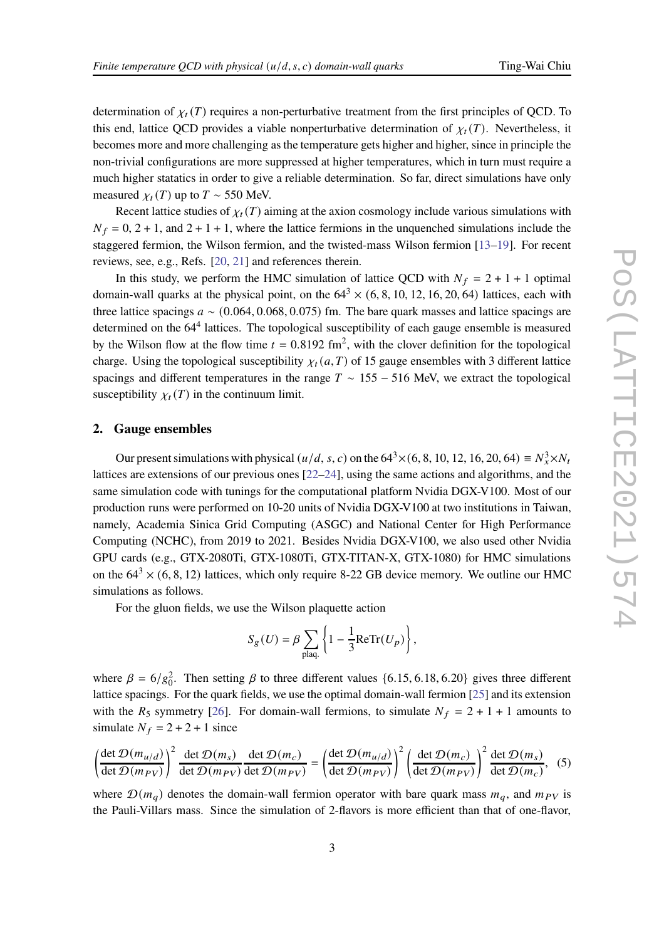determination of  $\chi_t(T)$  requires a non-perturbative treatment from the first principles of QCD. To this end, lattice QCD provides a viable nonperturbative determination of  $\chi_t(T)$ . Nevertheless, it becomes more and more challenging as the temperature gets higher and higher, since in principle the non-trivial configurations are more suppressed at higher temperatures, which in turn must require a much higher statatics in order to give a reliable determination. So far, direct simulations have only measured  $\chi_t(T)$  up to  $T \sim 550$  MeV.

Recent lattice studies of  $\chi_t(T)$  aiming at the axion cosmology include various simulations with  $N_f = 0$ , 2 + 1, and 2 + 1 + 1, where the lattice fermions in the unquenched simulations include the staggered fermion, the Wilson fermion, and the twisted-mass Wilson fermion [\[13](#page-6-9)[–19](#page-6-10)]. For recent reviews, see, e.g., Refs. [\[20](#page-7-0), [21](#page-7-1)] and references therein.

In this study, we perform the HMC simulation of lattice QCD with  $N_f = 2 + 1 + 1$  optimal domain-wall quarks at the physical point, on the  $64<sup>3</sup> \times (6, 8, 10, 12, 16, 20, 64)$  lattices, each with three lattice spacings  $a \sim (0.064, 0.068, 0.075)$  fm. The bare quark masses and lattice spacings are determined on the 64<sup>4</sup> lattices. The topological susceptibility of each gauge ensemble is measured by the Wilson flow at the flow time  $t = 0.8192$  fm<sup>2</sup>, with the clover definition for the topological charge. Using the topological susceptibility  $\chi_t(a,T)$  of 15 gauge ensembles with 3 different lattice spacings and different temperatures in the range  $T \sim 155 - 516$  MeV, we extract the topological susceptibility  $\chi_t(T)$  in the continuum limit.

### **2. Gauge ensembles**

Our present simulations with physical  $(u/d, s, c)$  on the 64<sup>3</sup> $\times$  (6, 8, 10, 12, 16, 20, 64)  $\equiv N_x^3 \times N_t$ lattices are extensions of our previous ones [\[22](#page-7-2)[–24\]](#page-7-3), using the same actions and algorithms, and the same simulation code with tunings for the computational platform Nvidia DGX-V100. Most of our production runs were performed on 10-20 units of Nvidia DGX-V100 at two institutions in Taiwan, namely, Academia Sinica Grid Computing (ASGC) and National Center for High Performance Computing (NCHC), from 2019 to 2021. Besides Nvidia DGX-V100, we also used other Nvidia GPU cards (e.g., GTX-2080Ti, GTX-1080Ti, GTX-TITAN-X, GTX-1080) for HMC simulations on the  $64^3 \times (6, 8, 12)$  lattices, which only require 8-22 GB device memory. We outline our HMC simulations as follows.

For the gluon fields, we use the Wilson plaquette action

$$
S_g(U) = \beta \sum_{\text{plaq.}} \left\{ 1 - \frac{1}{3} \text{ReTr}(U_p) \right\},\,
$$

where  $\beta = 6/g_0^2$ . Then setting  $\beta$  to three different values {6.15, 6.18, 6.20} gives three different lattice spacings. For the quark fields, we use the optimal domain-wall fermion [\[25](#page-7-4)] and its extension with the  $R_5$  symmetry [\[26](#page-7-5)]. For domain-wall fermions, to simulate  $N_f = 2 + 1 + 1$  amounts to simulate  $N_f = 2 + 2 + 1$  since

<span id="page-2-0"></span>
$$
\left(\frac{\det \mathcal{D}(m_{u/d})}{\det \mathcal{D}(m_{PV})}\right)^2 \frac{\det \mathcal{D}(m_s)}{\det \mathcal{D}(m_{PV})} \frac{\det \mathcal{D}(m_c)}{\det \mathcal{D}(m_{PV})} = \left(\frac{\det \mathcal{D}(m_{u/d})}{\det \mathcal{D}(m_{PV})}\right)^2 \left(\frac{\det \mathcal{D}(m_c)}{\det \mathcal{D}(m_{PV})}\right)^2 \frac{\det \mathcal{D}(m_s)}{\det \mathcal{D}(m_c)},
$$
(5)

where  $\mathcal{D}(m_q)$  denotes the domain-wall fermion operator with bare quark mass  $m_q$ , and  $m_{PV}$  is the Pauli-Villars mass. Since the simulation of 2-flavors is more efficient than that of one-flavor,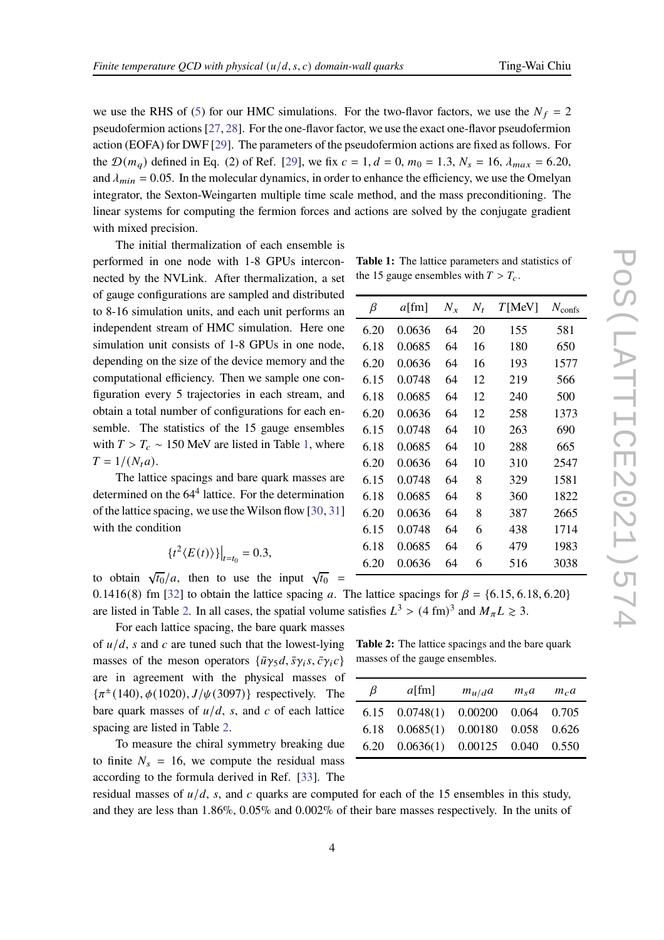we use the RHS of [\(5\)](#page-2-0) for our HMC simulations. For the two-flavor factors, we use the  $N_f = 2$ pseudofermion actions [\[27,](#page-7-6) [28](#page-7-7)]. For the one-flavor factor, we use the exact one-flavor pseudofermion action (EOFA) for DWF [\[29](#page-7-8)]. The parameters of the pseudofermion actions are fixed as follows. For the  $\mathcal{D}(m_q)$  defined in Eq. (2) of Ref. [\[29\]](#page-7-8), we fix  $c = 1, d = 0, m_0 = 1.3, N_s = 16, \lambda_{max} = 6.20$ , and  $\lambda_{min} = 0.05$ . In the molecular dynamics, in order to enhance the efficiency, we use the Omelyan integrator, the Sexton-Weingarten multiple time scale method, and the mass preconditioning. The linear systems for computing the fermion forces and actions are solved by the conjugate gradient with mixed precision.

The initial thermalization of each ensemble is performed in one node with 1-8 GPUs interconnected by the NVLink. After thermalization, a set of gauge configurations are sampled and distributed to 8-16 simulation units, and each unit performs an independent stream of HMC simulation. Here one simulation unit consists of 1-8 GPUs in one node, depending on the size of the device memory and the computational efficiency. Then we sample one configuration every 5 trajectories in each stream, and obtain a total number of configurations for each ensemble. The statistics of the 15 gauge ensembles with  $T > T_c \sim 150$  MeV are listed in Table [1,](#page-3-0) where  $T = 1/(N_t a)$ .

The lattice spacings and bare quark masses are determined on the 64<sup>4</sup> lattice. For the determination of the lattice spacing, we use the Wilson flow [\[30](#page-7-9), [31](#page-7-10)] with the condition

$$
\{t^2\langle E(t)\rangle\}\big|_{t=t_0}=0.3,
$$

to obtain  $\sqrt{t_0}/a$ , then to use the input  $\sqrt{t_0}$  = 0.1416(8) fm [\[32](#page-7-11)] to obtain the lattice spacing a. The lattice spacings for  $\beta = \{6.15, 6.18, 6.20\}$ are listed in Table [2.](#page-3-1) In all cases, the spatial volume satisfies  $L^3 > (4 \text{ fm})^3$  and  $M_{\pi}L \ge 3$ .

For each lattice spacing, the bare quark masses of  $u/d$ , s and c are tuned such that the lowest-lying masses of the meson operators  $\{\bar{u}\gamma_5 d, \bar{s}\gamma_i s, \bar{c}\gamma_i c\}$ are in agreement with the physical masses of  $\{\pi^{\pm}(140), \phi(1020), J/\psi(3097)\}\;$  respectively. The bare quark masses of  $u/d$ , s, and c of each lattice spacing are listed in Table [2.](#page-3-1)

To measure the chiral symmetry breaking due to finite  $N_s = 16$ , we compute the residual mass according to the formula derived in Ref. [\[33](#page-7-12)]. The

<span id="page-3-1"></span>**Table 2:** The lattice spacings and the bare quark masses of the gauge ensembles.

| $\beta$ | $a$ [fm]                               | $m_{u/d}a$ | $m_s a$ | $m_c a$ |
|---------|----------------------------------------|------------|---------|---------|
|         | 6.15  0.0748(1)  0.00200  0.064  0.705 |            |         |         |
|         | 6.18  0.0685(1)  0.00180  0.058  0.626 |            |         |         |
|         | 6.20  0.0636(1)  0.00125  0.040  0.550 |            |         |         |

residual masses of  $u/d$ , s, and c quarks are computed for each of the 15 ensembles in this study, and they are less than 1.86%, 0.05% and 0.002% of their bare masses respectively. In the units of

<span id="page-3-0"></span>**Table 1:** The lattice parameters and statistics of the 15 gauge ensembles with  $T > T_c$ .

| β    | $a$ [fm] | $N_{x}$ | $N_t$ | T[MeV] | $N_{\text{confs}}$ |
|------|----------|---------|-------|--------|--------------------|
| 6.20 | 0.0636   | 64      | 20    | 155    | 581                |
| 6.18 | 0.0685   | 64      | 16    | 180    | 650                |
| 6.20 | 0.0636   | 64      | 16    | 193    | 1577               |
| 6.15 | 0.0748   | 64      | 12    | 219    | 566                |
| 6.18 | 0.0685   | 64      | 12    | 240    | 500                |
| 6.20 | 0.0636   | 64      | 12    | 258    | 1373               |
| 6.15 | 0.0748   | 64      | 10    | 263    | 690                |
| 6.18 | 0.0685   | 64      | 10    | 288    | 665                |
| 6.20 | 0.0636   | 64      | 10    | 310    | 2547               |
| 6.15 | 0.0748   | 64      | 8     | 329    | 1581               |
| 6.18 | 0.0685   | 64      | 8     | 360    | 1822               |
| 6.20 | 0.0636   | 64      | 8     | 387    | 2665               |
| 6.15 | 0.0748   | 64      | 6     | 438    | 1714               |
| 6.18 | 0.0685   | 64      | 6     | 479    | 1983               |
| 6.20 | 0.0636   | 64      | 6     | 516    | 3038               |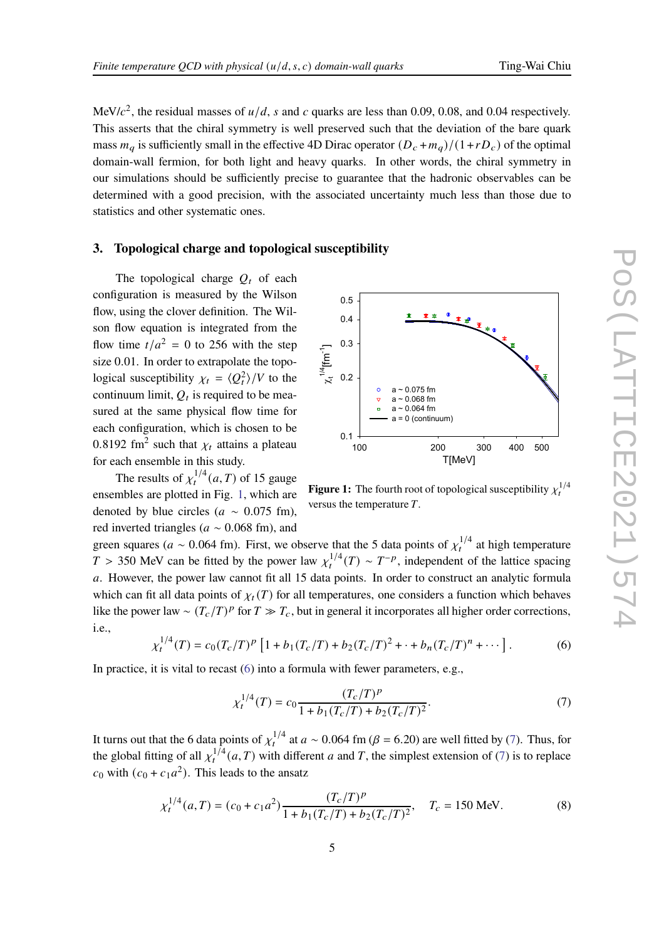MeV/ $c^2$ , the residual masses of  $u/d$ , s and c quarks are less than 0.09, 0.08, and 0.04 respectively. This asserts that the chiral symmetry is well preserved such that the deviation of the bare quark mass  $m_a$  is sufficiently small in the effective 4D Dirac operator  $(D_c + m_a)/(1 + rD_c)$  of the optimal domain-wall fermion, for both light and heavy quarks. In other words, the chiral symmetry in our simulations should be sufficiently precise to guarantee that the hadronic observables can be determined with a good precision, with the associated uncertainty much less than those due to statistics and other systematic ones.

### **3. Topological charge and topological susceptibility**

The topological charge  $Q_t$  of each configuration is measured by the Wilson flow, using the clover definition. The Wilson flow equation is integrated from the flow time  $t/a^2 = 0$  to 256 with the step size 0.01. In order to extrapolate the topological susceptibility  $\chi_t = \langle Q_t^2 \rangle / V$  to the continuum limit,  $Q_t$  is required to be measured at the same physical flow time for each configuration, which is chosen to be 0.8192 fm<sup>2</sup> such that  $\chi_t$  attains a plateau for each ensemble in this study.

The results of  $\chi_t^{1/4}(a,T)$  of 15 gauge ensembles are plotted in Fig. [1,](#page-4-0) which are denoted by blue circles ( $a \sim 0.075$  fm), red inverted triangles ( $a \sim 0.068$  fm), and

<span id="page-4-0"></span>

**Figure 1:** The fourth root of topological susceptibility  $\chi_t^{1/4}$ versus the temperature  $T$ .

green squares ( $a \sim 0.064$  fm). First, we observe that the 5 data points of  $\chi_t^{1/4}$  at high temperature  $T > 350$  MeV can be fitted by the power law  $\chi_t^{1/4}(T) \sim T^{-p}$ , independent of the lattice spacing a. However, the power law cannot fit all 15 data points. In order to construct an analytic formula which can fit all data points of  $\chi_t(T)$  for all temperatures, one considers a function which behaves like the power law ~  $(T_c/T)^p$  for  $T \gg T_c$ , but in general it incorporates all higher order corrections, i.e.,

<span id="page-4-1"></span>
$$
\chi_t^{1/4}(T) = c_0 (T_c/T)^p \left[ 1 + b_1 (T_c/T) + b_2 (T_c/T)^2 + \dots + b_n (T_c/T)^n + \dots \right].
$$
 (6)

In practice, it is vital to recast [\(6\)](#page-4-1) into a formula with fewer parameters, e.g.,

<span id="page-4-2"></span>
$$
\chi_t^{1/4}(T) = c_0 \frac{(T_c/T)^p}{1 + b_1 (T_c/T) + b_2 (T_c/T)^2}.
$$
\n(7)

It turns out that the 6 data points of  $\chi_t^{1/4}$  at  $a \sim 0.064$  fm ( $\beta = 6.20$ ) are well fitted by [\(7\)](#page-4-2). Thus, for the global fitting of all  $\chi_t^{1/4}(a,T)$  with different a and T, the simplest extension of [\(7\)](#page-4-2) is to replace  $c_0$  with  $(c_0 + c_1 a^2)$ . This leads to the ansatz

<span id="page-4-3"></span>
$$
\chi_t^{1/4}(a,T) = (c_0 + c_1 a^2) \frac{(T_c/T)^p}{1 + b_1 (T_c/T) + b_2 (T_c/T)^2}, \quad T_c = 150 \text{ MeV}.
$$
 (8)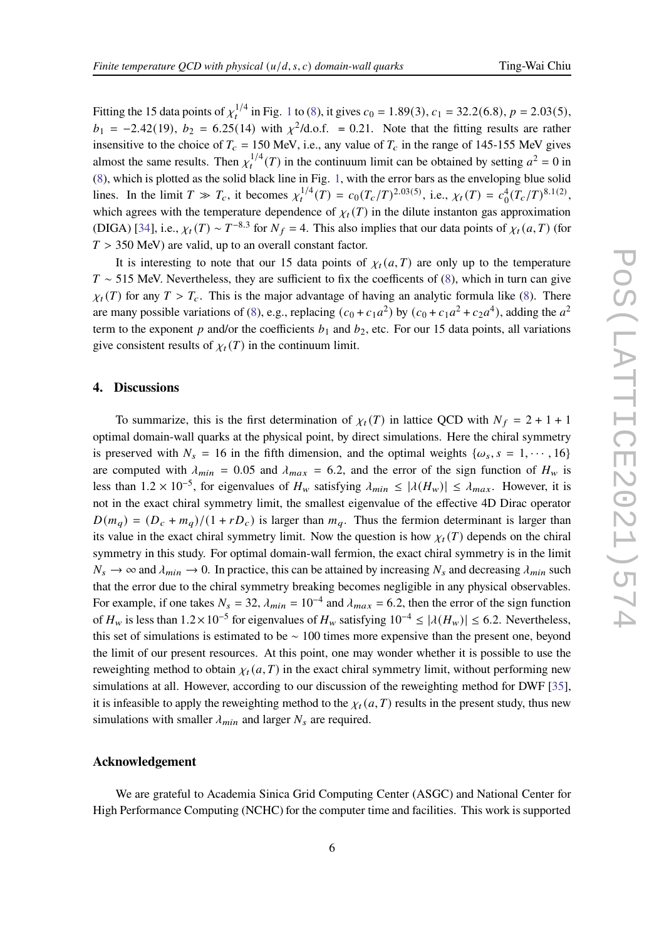Fitting the [1](#page-4-0)5 data points of  $\chi_t^{1/4}$  in Fig. 1 to [\(8\)](#page-4-3), it gives  $c_0 = 1.89(3)$ ,  $c_1 = 32.2(6.8)$ ,  $p = 2.03(5)$ ,  $b_1 = -2.42(19)$ ,  $b_2 = 6.25(14)$  with  $\chi^2$ /d.o.f. = 0.21. Note that the fitting results are rather insensitive to the choice of  $T_c = 150$  MeV, i.e., any value of  $T_c$  in the range of 145-155 MeV gives almost the same results. Then  $\chi_t^{1/4}(T)$  in the continuum limit can be obtained by setting  $a^2 = 0$  in [\(8\)](#page-4-3), which is plotted as the solid black line in Fig. [1,](#page-4-0) with the error bars as the enveloping blue solid lines. In the limit  $T \gg T_c$ , it becomes  $\chi_t^{1/4}(T) = c_0 (T_c/T)^{2.03(5)}$ , i.e.,  $\chi_t(T) = c_0^4 (T_c/T)^{8.1(2)}$ , which agrees with the temperature dependence of  $\chi_t(T)$  in the dilute instanton gas approximation (DIGA) [\[34\]](#page-7-13), i.e.,  $\chi_t(T) \sim T^{-8.3}$  for  $N_f = 4$ . This also implies that our data points of  $\chi_t(a, T)$  (for  $T > 350$  MeV) are valid, up to an overall constant factor.

It is interesting to note that our 15 data points of  $\chi_t(a,T)$  are only up to the temperature  $T \sim 515$  MeV. Nevertheless, they are sufficient to fix the coefficents of [\(8\)](#page-4-3), which in turn can give  $\chi_t(T)$  for any  $T > T_c$ . This is the major advantage of having an analytic formula like [\(8\)](#page-4-3). There are many possible variations of [\(8\)](#page-4-3), e.g., replacing  $(c_0 + c_1a^2)$  by  $(c_0 + c_1a^2 + c_2a^4)$ , adding the  $a^2$ term to the exponent  $p$  and/or the coefficients  $b_1$  and  $b_2$ , etc. For our 15 data points, all variations give consistent results of  $\chi_t(T)$  in the continuum limit.

## **4. Discussions**

To summarize, this is the first determination of  $\chi_t(T)$  in lattice QCD with  $N_f = 2 + 1 + 1$ optimal domain-wall quarks at the physical point, by direct simulations. Here the chiral symmetry is preserved with  $N_s = 16$  in the fifth dimension, and the optimal weights  $\{\omega_s, s = 1, \dots, 16\}$ are computed with  $\lambda_{min} = 0.05$  and  $\lambda_{max} = 6.2$ , and the error of the sign function of  $H_w$  is less than  $1.2 \times 10^{-5}$ , for eigenvalues of  $H_w$  satisfying  $\lambda_{min} \leq |\lambda(H_w)| \leq \lambda_{max}$ . However, it is not in the exact chiral symmetry limit, the smallest eigenvalue of the effective 4D Dirac operator  $D(m_q) = (D_c + m_q)/(1 + rD_c)$  is larger than  $m_q$ . Thus the fermion determinant is larger than its value in the exact chiral symmetry limit. Now the question is how  $\chi_t(T)$  depends on the chiral symmetry in this study. For optimal domain-wall fermion, the exact chiral symmetry is in the limit  $N_s \to \infty$  and  $\lambda_{min} \to 0$ . In practice, this can be attained by increasing  $N_s$  and decreasing  $\lambda_{min}$  such that the error due to the chiral symmetry breaking becomes negligible in any physical observables. For example, if one takes  $N_s = 32$ ,  $\lambda_{min} = 10^{-4}$  and  $\lambda_{max} = 6.2$ , then the error of the sign function of  $H_w$  is less than  $1.2 \times 10^{-5}$  for eigenvalues of  $H_w$  satisfying  $10^{-4} \le |\lambda(H_w)| \le 6.2$ . Nevertheless, this set of simulations is estimated to be ∼ 100 times more expensive than the present one, beyond the limit of our present resources. At this point, one may wonder whether it is possible to use the reweighting method to obtain  $\chi_t(a,T)$  in the exact chiral symmetry limit, without performing new simulations at all. However, according to our discussion of the reweighting method for DWF [\[35](#page-7-14)], it is infeasible to apply the reweighting method to the  $\chi_t(a,T)$  results in the present study, thus new simulations with smaller  $\lambda_{min}$  and larger  $N_s$  are required.

### **Acknowledgement**

We are grateful to Academia Sinica Grid Computing Center (ASGC) and National Center for High Performance Computing (NCHC) for the computer time and facilities. This work is supported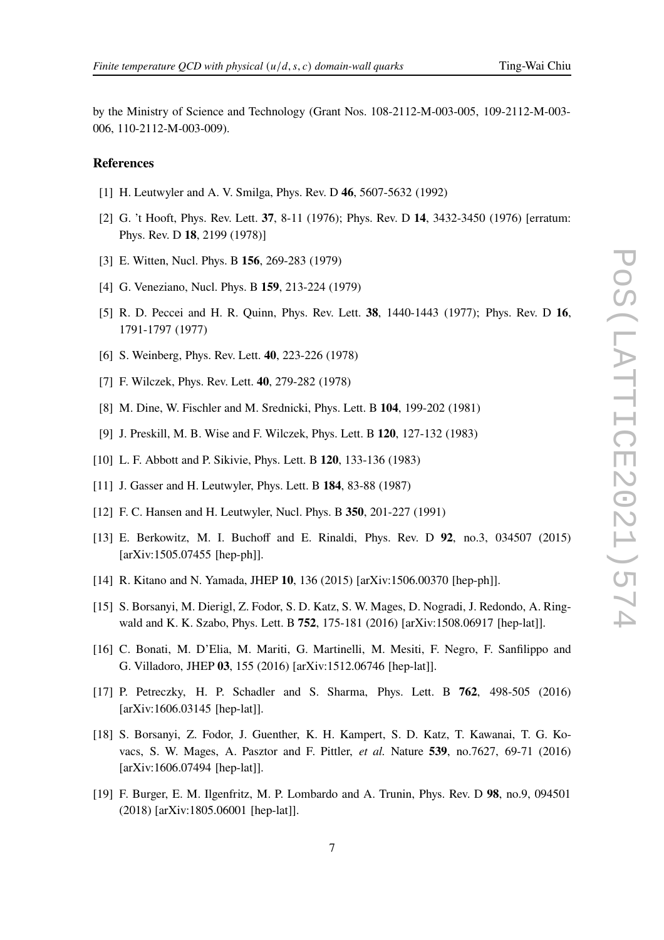by the Ministry of Science and Technology (Grant Nos. 108-2112-M-003-005, 109-2112-M-003- 006, 110-2112-M-003-009).

### **References**

- <span id="page-6-0"></span>[1] H. Leutwyler and A. V. Smilga, Phys. Rev. D **46**, 5607-5632 (1992)
- <span id="page-6-1"></span>[2] G. 't Hooft, Phys. Rev. Lett. **37**, 8-11 (1976); Phys. Rev. D **14**, 3432-3450 (1976) [erratum: Phys. Rev. D **18**, 2199 (1978)]
- [3] E. Witten, Nucl. Phys. B **156**, 269-283 (1979)
- <span id="page-6-2"></span>[4] G. Veneziano, Nucl. Phys. B **159**, 213-224 (1979)
- <span id="page-6-3"></span>[5] R. D. Peccei and H. R. Quinn, Phys. Rev. Lett. **38**, 1440-1443 (1977); Phys. Rev. D **16**, 1791-1797 (1977)
- [6] S. Weinberg, Phys. Rev. Lett. **40**, 223-226 (1978)
- <span id="page-6-4"></span>[7] F. Wilczek, Phys. Rev. Lett. **40**, 279-282 (1978)
- <span id="page-6-5"></span>[8] M. Dine, W. Fischler and M. Srednicki, Phys. Lett. B **104**, 199-202 (1981)
- [9] J. Preskill, M. B. Wise and F. Wilczek, Phys. Lett. B **120**, 127-132 (1983)
- <span id="page-6-6"></span>[10] L. F. Abbott and P. Sikivie, Phys. Lett. B **120**, 133-136 (1983)
- <span id="page-6-7"></span>[11] J. Gasser and H. Leutwyler, Phys. Lett. B **184**, 83-88 (1987)
- <span id="page-6-8"></span>[12] F. C. Hansen and H. Leutwyler, Nucl. Phys. B **350**, 201-227 (1991)
- <span id="page-6-9"></span>[13] E. Berkowitz, M. I. Buchoff and E. Rinaldi, Phys. Rev. D **92**, no.3, 034507 (2015) [arXiv:1505.07455 [hep-ph]].
- [14] R. Kitano and N. Yamada, JHEP **10**, 136 (2015) [arXiv:1506.00370 [hep-ph]].
- [15] S. Borsanyi, M. Dierigl, Z. Fodor, S. D. Katz, S. W. Mages, D. Nogradi, J. Redondo, A. Ringwald and K. K. Szabo, Phys. Lett. B **752**, 175-181 (2016) [arXiv:1508.06917 [hep-lat]].
- [16] C. Bonati, M. D'Elia, M. Mariti, G. Martinelli, M. Mesiti, F. Negro, F. Sanfilippo and G. Villadoro, JHEP **03**, 155 (2016) [arXiv:1512.06746 [hep-lat]].
- [17] P. Petreczky, H. P. Schadler and S. Sharma, Phys. Lett. B **762**, 498-505 (2016) [arXiv:1606.03145 [hep-lat]].
- [18] S. Borsanyi, Z. Fodor, J. Guenther, K. H. Kampert, S. D. Katz, T. Kawanai, T. G. Kovacs, S. W. Mages, A. Pasztor and F. Pittler, *et al.* Nature **539**, no.7627, 69-71 (2016) [arXiv:1606.07494 [hep-lat]].
- <span id="page-6-10"></span>[19] F. Burger, E. M. Ilgenfritz, M. P. Lombardo and A. Trunin, Phys. Rev. D **98**, no.9, 094501 (2018) [arXiv:1805.06001 [hep-lat]].